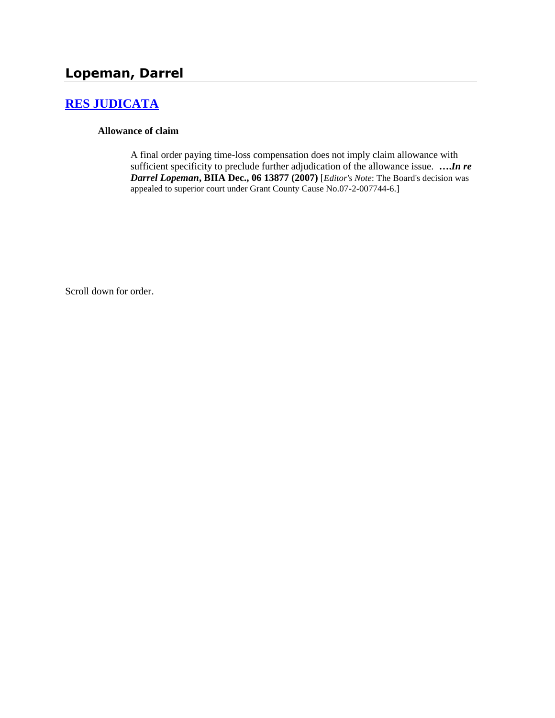# **[RES JUDICATA](http://www.biia.wa.gov/SDSubjectIndex.html#RES_JUDICATA)**

#### **Allowance of claim**

A final order paying time-loss compensation does not imply claim allowance with sufficient specificity to preclude further adjudication of the allowance issue. **….***In re Darrel Lopeman***, BIIA Dec., 06 13877 (2007)** [*Editor's Note*: The Board's decision was appealed to superior court under Grant County Cause No.07-2-007744-6.]

Scroll down for order.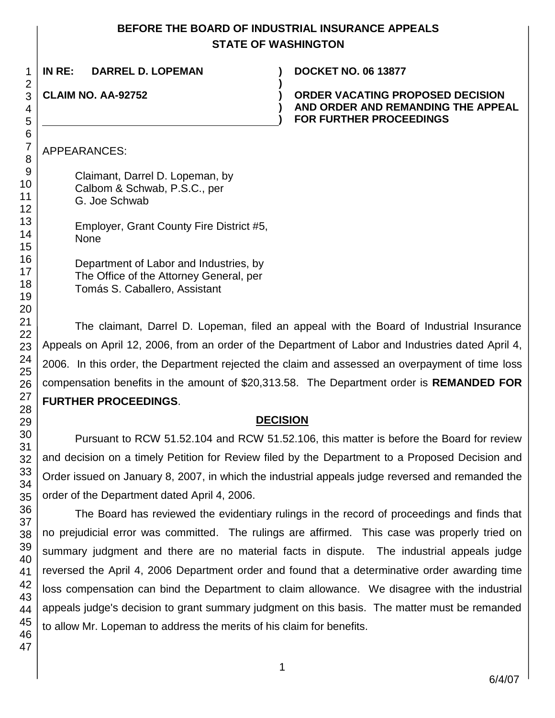# **BEFORE THE BOARD OF INDUSTRIAL INSURANCE APPEALS STATE OF WASHINGTON**

| IN RE:<br>DARREL D. LOPEMAN | <b>DOCKET NO. 06 13877</b>                                                                               |
|-----------------------------|----------------------------------------------------------------------------------------------------------|
| <b>CLAIM NO. AA-92752</b>   | ORDER VACATING PROPOSED DECISION<br>AND ORDER AND REMANDING THE APPEAL<br><b>FOR FURTHER PROCEEDINGS</b> |
|                             |                                                                                                          |

### APPEARANCES:

Claimant, Darrel D. Lopeman, by Calbom & Schwab, P.S.C., per G. Joe Schwab

Employer, Grant County Fire District #5, None

Department of Labor and Industries, by The Office of the Attorney General, per Tomás S. Caballero, Assistant

The claimant, Darrel D. Lopeman, filed an appeal with the Board of Industrial Insurance Appeals on April 12, 2006, from an order of the Department of Labor and Industries dated April 4, 2006. In this order, the Department rejected the claim and assessed an overpayment of time loss compensation benefits in the amount of \$20,313.58. The Department order is **REMANDED FOR FURTHER PROCEEDINGS**.

#### **DECISION**

Pursuant to RCW 51.52.104 and RCW 51.52.106, this matter is before the Board for review and decision on a timely Petition for Review filed by the Department to a Proposed Decision and Order issued on January 8, 2007, in which the industrial appeals judge reversed and remanded the order of the Department dated April 4, 2006.

The Board has reviewed the evidentiary rulings in the record of proceedings and finds that no prejudicial error was committed. The rulings are affirmed. This case was properly tried on summary judgment and there are no material facts in dispute. The industrial appeals judge reversed the April 4, 2006 Department order and found that a determinative order awarding time loss compensation can bind the Department to claim allowance. We disagree with the industrial appeals judge's decision to grant summary judgment on this basis. The matter must be remanded to allow Mr. Lopeman to address the merits of his claim for benefits.

1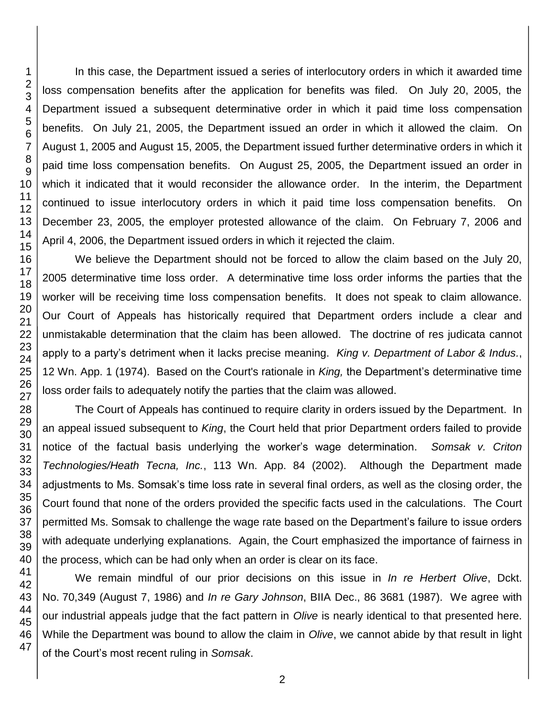In this case, the Department issued a series of interlocutory orders in which it awarded time loss compensation benefits after the application for benefits was filed. On July 20, 2005, the Department issued a subsequent determinative order in which it paid time loss compensation benefits. On July 21, 2005, the Department issued an order in which it allowed the claim. On August 1, 2005 and August 15, 2005, the Department issued further determinative orders in which it paid time loss compensation benefits. On August 25, 2005, the Department issued an order in which it indicated that it would reconsider the allowance order. In the interim, the Department continued to issue interlocutory orders in which it paid time loss compensation benefits. On December 23, 2005, the employer protested allowance of the claim. On February 7, 2006 and April 4, 2006, the Department issued orders in which it rejected the claim.

We believe the Department should not be forced to allow the claim based on the July 20, 2005 determinative time loss order. A determinative time loss order informs the parties that the worker will be receiving time loss compensation benefits. It does not speak to claim allowance. Our Court of Appeals has historically required that Department orders include a clear and unmistakable determination that the claim has been allowed. The doctrine of res judicata cannot apply to a party's detriment when it lacks precise meaning. *King v. Department of Labor & Indus.*, 12 Wn. App. 1 (1974). Based on the Court's rationale in *King,* the Department's determinative time loss order fails to adequately notify the parties that the claim was allowed.

The Court of Appeals has continued to require clarity in orders issued by the Department. In an appeal issued subsequent to *King*, the Court held that prior Department orders failed to provide notice of the factual basis underlying the worker's wage determination. *Somsak v. Criton Technologies/Heath Tecna, Inc.*, 113 Wn. App. 84 (2002). Although the Department made adjustments to Ms. Somsak's time loss rate in several final orders, as well as the closing order, the Court found that none of the orders provided the specific facts used in the calculations. The Court permitted Ms. Somsak to challenge the wage rate based on the Department's failure to issue orders with adequate underlying explanations. Again, the Court emphasized the importance of fairness in the process, which can be had only when an order is clear on its face.

We remain mindful of our prior decisions on this issue in *In re Herbert Olive*, Dckt. No. 70,349 (August 7, 1986) and *In re Gary Johnson*, BIIA Dec., 86 3681 (1987). We agree with our industrial appeals judge that the fact pattern in *Olive* is nearly identical to that presented here. While the Department was bound to allow the claim in *Olive*, we cannot abide by that result in light of the Court's most recent ruling in *Somsak*.

1